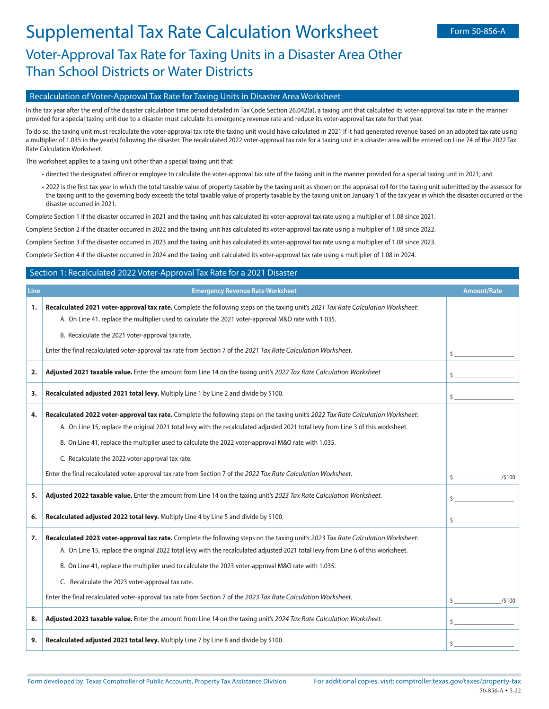## Recalculation of Voter-Approval Tax Rate for Taxing Units in Disaster Area Worksheet

In the tax year after the end of the disaster calculation time period detailed in Tax Code Section 26.042(a), a taxing unit that calculated its voter-approval tax rate in the manner provided for a special taxing unit due to a disaster must calculate its emergency revenue rate and reduce its voter-approval tax rate for that year.

To do so, the taxing unit must recalculate the voter-approval tax rate the taxing unit would have calculated in 2021 if it had generated revenue based on an adopted tax rate using a multiplier of 1.035 in the year(s) following the disaster. The recalculated 2022 voter-approval tax rate for a taxing unit in a disaster area will be entered on Line 74 of the 2022 Tax Rate Calculation Worksheet.

This worksheet applies to a taxing unit other than a special taxing unit that:

- directed the designated officer or employee to calculate the voter-approval tax rate of the taxing unit in the manner provided for a special taxing unit in 2021; and
- 2022 is the first tax year in which the total taxable value of property taxable by the taxing unit as shown on the appraisal roll for the taxing unit submitted by the assessor for the taxing unit to the governing body exceeds the total taxable value of property taxable by the taxing unit on January 1 of the tax year in which the disaster occurred or the disaster occurred in 2021.

Complete Section 1 if the disaster occurred in 2021 and the taxing unit has calculated its voter-approval tax rate using a multiplier of 1.08 since 2021.

Complete Section 2 if the disaster occurred in 2022 and the taxing unit has calculated its voter-approval tax rate using a multiplier of 1.08 since 2022.

Complete Section 3 if the disaster occurred in 2023 and the taxing unit has calculated its voter-approval tax rate using a multiplier of 1.08 since 2023.

Complete Section 4 if the disaster occurred in 2024 and the taxing unit calculated its voter-approval tax rate using a multiplier of 1.08 in 2024.

## Section 1: Recalculated 2022 Voter-Approval Tax Rate for a 2021 Disaster

| Line | <b>Emergency Revenue Rate Worksheet</b>                                                                                                                                                                                                                                                                                                                                                                                            | <b>Amount/Rate</b> |
|------|------------------------------------------------------------------------------------------------------------------------------------------------------------------------------------------------------------------------------------------------------------------------------------------------------------------------------------------------------------------------------------------------------------------------------------|--------------------|
| 1.   | Recalculated 2021 voter-approval tax rate. Complete the following steps on the taxing unit's 2021 Tax Rate Calculation Worksheet:<br>A. On Line 41, replace the multiplier used to calculate the 2021 voter-approval M&O rate with 1.035.                                                                                                                                                                                          |                    |
|      | B. Recalculate the 2021 voter-approval tax rate.                                                                                                                                                                                                                                                                                                                                                                                   |                    |
|      | Enter the final recalculated voter-approval tax rate from Section 7 of the 2021 Tax Rate Calculation Worksheet.                                                                                                                                                                                                                                                                                                                    | $\mathsf{\hat{S}}$ |
| 2.   | Adjusted 2021 taxable value. Enter the amount from Line 14 on the taxing unit's 2022 Tax Rate Calculation Worksheet                                                                                                                                                                                                                                                                                                                | \$                 |
| 3.   | Recalculated adjusted 2021 total levy. Multiply Line 1 by Line 2 and divide by \$100.                                                                                                                                                                                                                                                                                                                                              | \$                 |
| 4.   | Recalculated 2022 voter-approval tax rate. Complete the following steps on the taxing unit's 2022 Tax Rate Calculation Worksheet:<br>A. On Line 15, replace the original 2021 total levy with the recalculated adjusted 2021 total levy from Line 3 of this worksheet.<br>B. On Line 41, replace the multiplier used to calculate the 2022 voter-approval M&O rate with 1.035.                                                     |                    |
|      | C. Recalculate the 2022 voter-approval tax rate.<br>Enter the final recalculated voter-approval tax rate from Section 7 of the 2022 Tax Rate Calculation Worksheet.                                                                                                                                                                                                                                                                |                    |
|      |                                                                                                                                                                                                                                                                                                                                                                                                                                    | /5100              |
| 5.   | Adjusted 2022 taxable value. Enter the amount from Line 14 on the taxing unit's 2023 Tax Rate Calculation Worksheet.                                                                                                                                                                                                                                                                                                               | \$                 |
| 6.   | Recalculated adjusted 2022 total levy. Multiply Line 4 by Line 5 and divide by \$100.                                                                                                                                                                                                                                                                                                                                              | Ŝ.                 |
| 7.   | Recalculated 2023 voter-approval tax rate. Complete the following steps on the taxing unit's 2023 Tax Rate Calculation Worksheet:<br>A. On Line 15, replace the original 2022 total levy with the recalculated adjusted 2021 total levy from Line 6 of this worksheet.<br>B. On Line 41, replace the multiplier used to calculate the 2023 voter-approval M&O rate with 1.035.<br>C. Recalculate the 2023 voter-approval tax rate. |                    |
|      | Enter the final recalculated voter-approval tax rate from Section 7 of the 2023 Tax Rate Calculation Worksheet.                                                                                                                                                                                                                                                                                                                    | /5100              |
| 8.   | Adjusted 2023 taxable value. Enter the amount from Line 14 on the taxing unit's 2024 Tax Rate Calculation Worksheet.                                                                                                                                                                                                                                                                                                               | $\mathsf{\hat{S}}$ |
| 9.   | Recalculated adjusted 2023 total levy. Multiply Line 7 by Line 8 and divide by \$100.                                                                                                                                                                                                                                                                                                                                              | Ś                  |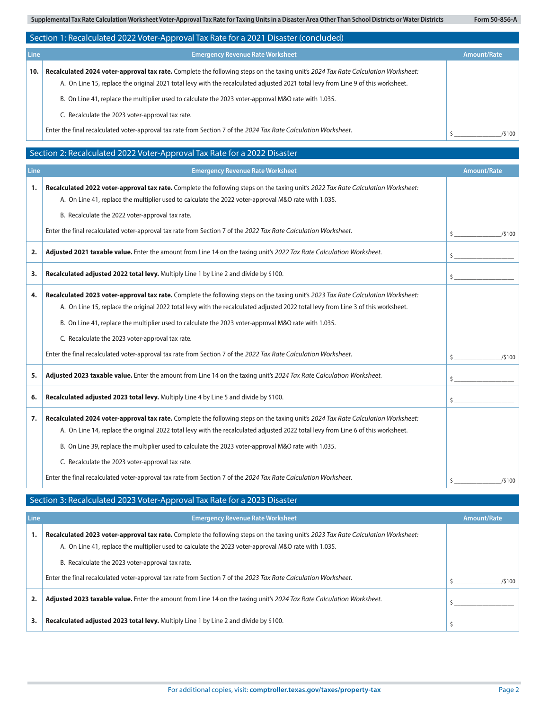**Supplemental Tax Rate Calculation Worksheet Voter-Approval Tax Rate for Taxing Units in a Disaster Area Other Than School Districts or Water Districts Form 50-856-A**

|                                                                          | Section 1: Recalculated 2022 Voter-Approval Tax Rate for a 2021 Disaster (concluded)                                                                                                                                                                                                                                                                                                                                                                                                                                                                  |                    |  |
|--------------------------------------------------------------------------|-------------------------------------------------------------------------------------------------------------------------------------------------------------------------------------------------------------------------------------------------------------------------------------------------------------------------------------------------------------------------------------------------------------------------------------------------------------------------------------------------------------------------------------------------------|--------------------|--|
| Line<br><b>Emergency Revenue Rate Worksheet</b>                          |                                                                                                                                                                                                                                                                                                                                                                                                                                                                                                                                                       |                    |  |
| 10.                                                                      | Recalculated 2024 voter-approval tax rate. Complete the following steps on the taxing unit's 2024 Tax Rate Calculation Worksheet:<br>A. On Line 15, replace the original 2021 total levy with the recalculated adjusted 2021 total levy from Line 9 of this worksheet.<br>B. On Line 41, replace the multiplier used to calculate the 2023 voter-approval M&O rate with 1.035.<br>C. Recalculate the 2023 voter-approval tax rate.<br>Enter the final recalculated voter-approval tax rate from Section 7 of the 2024 Tax Rate Calculation Worksheet. | /5100              |  |
| Section 2: Recalculated 2022 Voter-Approval Tax Rate for a 2022 Disaster |                                                                                                                                                                                                                                                                                                                                                                                                                                                                                                                                                       |                    |  |
| <b>Line</b>                                                              | <b>Emergency Revenue Rate Worksheet</b>                                                                                                                                                                                                                                                                                                                                                                                                                                                                                                               | <b>Amount/Rate</b> |  |
| 1.                                                                       | Recalculated 2022 voter-approval tax rate. Complete the following steps on the taxing unit's 2022 Tax Rate Calculation Worksheet:<br>A. On Line 41, replace the multiplier used to calculate the 2022 voter-approval M&O rate with 1.035.<br>B. Recalculate the 2022 voter-approval tax rate.                                                                                                                                                                                                                                                         |                    |  |

|    | Enter the final recalculated voter-approval tax rate from Section 7 of the 2022 Tax Rate Calculation Worksheet.                                                                                                                                                                                                                                                                                                                                                                                                                                       | /5100<br>S. |
|----|-------------------------------------------------------------------------------------------------------------------------------------------------------------------------------------------------------------------------------------------------------------------------------------------------------------------------------------------------------------------------------------------------------------------------------------------------------------------------------------------------------------------------------------------------------|-------------|
| 2. | Adjusted 2021 taxable value. Enter the amount from Line 14 on the taxing unit's 2022 Tax Rate Calculation Worksheet.                                                                                                                                                                                                                                                                                                                                                                                                                                  |             |
| 3. | Recalculated adjusted 2022 total levy. Multiply Line 1 by Line 2 and divide by \$100.                                                                                                                                                                                                                                                                                                                                                                                                                                                                 |             |
| 4. | Recalculated 2023 voter-approval tax rate. Complete the following steps on the taxing unit's 2023 Tax Rate Calculation Worksheet:<br>A. On Line 15, replace the original 2022 total levy with the recalculated adjusted 2022 total levy from Line 3 of this worksheet.<br>B. On Line 41, replace the multiplier used to calculate the 2023 voter-approval M&O rate with 1.035.<br>C. Recalculate the 2023 voter-approval tax rate.<br>Enter the final recalculated voter-approval tax rate from Section 7 of the 2022 Tax Rate Calculation Worksheet. | /5100       |
| 5. | Adjusted 2023 taxable value. Enter the amount from Line 14 on the taxing unit's 2024 Tax Rate Calculation Worksheet.                                                                                                                                                                                                                                                                                                                                                                                                                                  |             |
| 6. | Recalculated adjusted 2023 total levy. Multiply Line 4 by Line 5 and divide by \$100.                                                                                                                                                                                                                                                                                                                                                                                                                                                                 |             |
| 7. | Recalculated 2024 voter-approval tax rate. Complete the following steps on the taxing unit's 2024 Tax Rate Calculation Worksheet:<br>A. On Line 14, replace the original 2022 total levy with the recalculated adjusted 2022 total levy from Line 6 of this worksheet.<br>B. On Line 39, replace the multiplier used to calculate the 2023 voter-approval M&O rate with 1.035.<br>C. Recalculate the 2023 voter-approval tax rate.<br>Enter the final recalculated voter-approval tax rate from Section 7 of the 2024 Tax Rate Calculation Worksheet. | /\$100      |

## Section 3: Recalculated 2023 Voter-Approval Tax Rate for a 2023 Disaster

| Line | <b>Emergency Revenue Rate Worksheet</b>                                                                                                                                                                                                                                                       | Amount/Rate |
|------|-----------------------------------------------------------------------------------------------------------------------------------------------------------------------------------------------------------------------------------------------------------------------------------------------|-------------|
|      | Recalculated 2023 voter-approval tax rate. Complete the following steps on the taxing unit's 2023 Tax Rate Calculation Worksheet:<br>A. On Line 41, replace the multiplier used to calculate the 2023 voter-approval M&O rate with 1.035.<br>B. Recalculate the 2023 voter-approval tax rate. |             |
|      | Enter the final recalculated voter-approval tax rate from Section 7 of the 2023 Tax Rate Calculation Worksheet.                                                                                                                                                                               | /5100       |
|      | <b>Adjusted 2023 taxable value.</b> Enter the amount from Line 14 on the taxing unit's 2024 Tax Rate Calculation Worksheet.                                                                                                                                                                   |             |
|      | Recalculated adjusted 2023 total levy. Multiply Line 1 by Line 2 and divide by \$100.                                                                                                                                                                                                         |             |